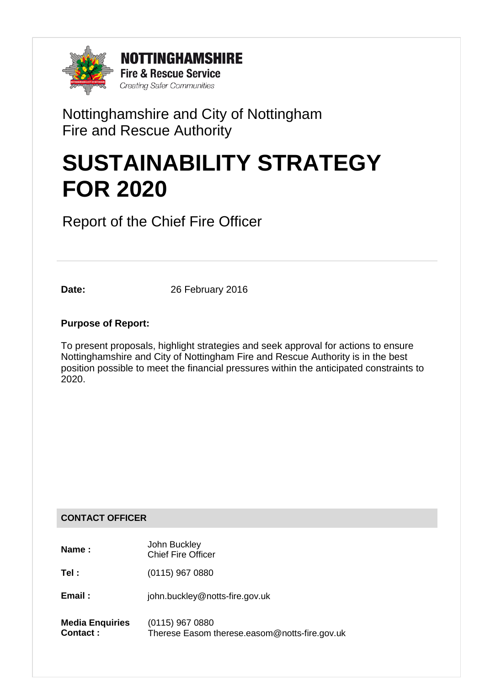

# Nottinghamshire and City of Nottingham Fire and Rescue Authority

# **SUSTAINABILITY STRATEGY FOR 2020**

Report of the Chief Fire Officer

**Date:** 26 February 2016

### **Purpose of Report:**

To present proposals, highlight strategies and seek approval for actions to ensure Nottinghamshire and City of Nottingham Fire and Rescue Authority is in the best position possible to meet the financial pressures within the anticipated constraints to 2020.

### **CONTACT OFFICER**

| Name :                                    | John Buckley<br><b>Chief Fire Officer</b>                          |
|-------------------------------------------|--------------------------------------------------------------------|
| Tel :                                     | $(0115)$ 967 0880                                                  |
| Email:                                    | john.buckley@notts-fire.gov.uk                                     |
| <b>Media Enquiries</b><br><b>Contact:</b> | $(0115)$ 967 0880<br>Therese Easom therese.easom@notts-fire.gov.uk |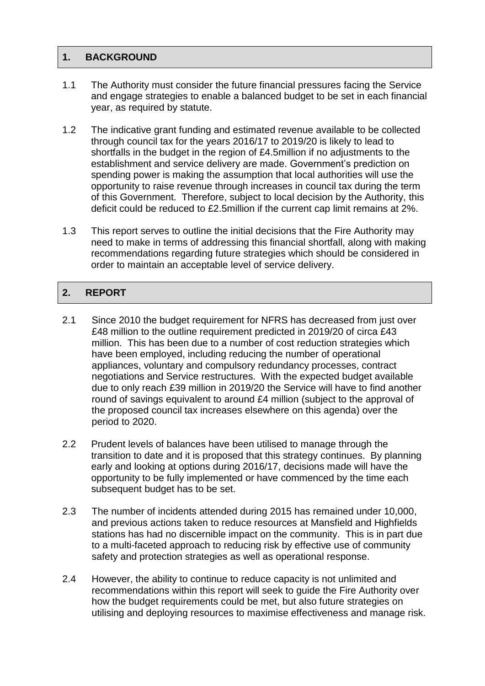### **1. BACKGROUND**

- 1.1 The Authority must consider the future financial pressures facing the Service and engage strategies to enable a balanced budget to be set in each financial year, as required by statute.
- 1.2 The indicative grant funding and estimated revenue available to be collected through council tax for the years 2016/17 to 2019/20 is likely to lead to shortfalls in the budget in the region of £4.5million if no adjustments to the establishment and service delivery are made. Government's prediction on spending power is making the assumption that local authorities will use the opportunity to raise revenue through increases in council tax during the term of this Government. Therefore, subject to local decision by the Authority, this deficit could be reduced to £2.5million if the current cap limit remains at 2%.
- 1.3 This report serves to outline the initial decisions that the Fire Authority may need to make in terms of addressing this financial shortfall, along with making recommendations regarding future strategies which should be considered in order to maintain an acceptable level of service delivery.

### **2. REPORT**

- 2.1 Since 2010 the budget requirement for NFRS has decreased from just over £48 million to the outline requirement predicted in 2019/20 of circa £43 million. This has been due to a number of cost reduction strategies which have been employed, including reducing the number of operational appliances, voluntary and compulsory redundancy processes, contract negotiations and Service restructures. With the expected budget available due to only reach £39 million in 2019/20 the Service will have to find another round of savings equivalent to around £4 million (subject to the approval of the proposed council tax increases elsewhere on this agenda) over the period to 2020.
- 2.2 Prudent levels of balances have been utilised to manage through the transition to date and it is proposed that this strategy continues. By planning early and looking at options during 2016/17, decisions made will have the opportunity to be fully implemented or have commenced by the time each subsequent budget has to be set.
- 2.3 The number of incidents attended during 2015 has remained under 10,000, and previous actions taken to reduce resources at Mansfield and Highfields stations has had no discernible impact on the community. This is in part due to a multi-faceted approach to reducing risk by effective use of community safety and protection strategies as well as operational response.
- 2.4 However, the ability to continue to reduce capacity is not unlimited and recommendations within this report will seek to guide the Fire Authority over how the budget requirements could be met, but also future strategies on utilising and deploying resources to maximise effectiveness and manage risk.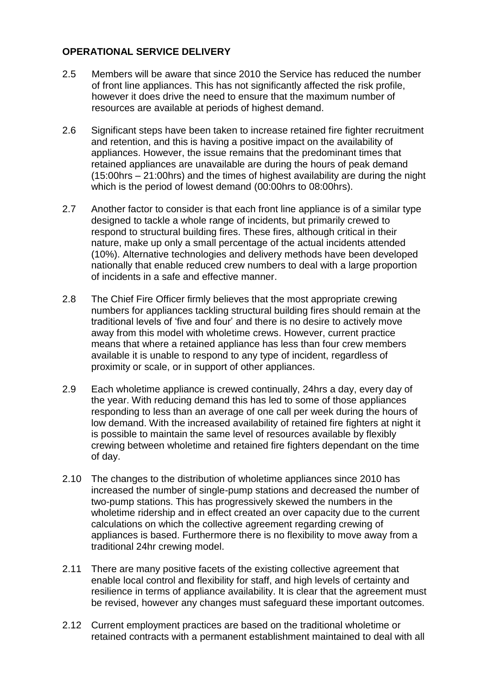### **OPERATIONAL SERVICE DELIVERY**

- 2.5 Members will be aware that since 2010 the Service has reduced the number of front line appliances. This has not significantly affected the risk profile, however it does drive the need to ensure that the maximum number of resources are available at periods of highest demand.
- 2.6 Significant steps have been taken to increase retained fire fighter recruitment and retention, and this is having a positive impact on the availability of appliances. However, the issue remains that the predominant times that retained appliances are unavailable are during the hours of peak demand (15:00hrs – 21:00hrs) and the times of highest availability are during the night which is the period of lowest demand (00:00hrs to 08:00hrs).
- 2.7 Another factor to consider is that each front line appliance is of a similar type designed to tackle a whole range of incidents, but primarily crewed to respond to structural building fires. These fires, although critical in their nature, make up only a small percentage of the actual incidents attended (10%). Alternative technologies and delivery methods have been developed nationally that enable reduced crew numbers to deal with a large proportion of incidents in a safe and effective manner.
- 2.8 The Chief Fire Officer firmly believes that the most appropriate crewing numbers for appliances tackling structural building fires should remain at the traditional levels of 'five and four' and there is no desire to actively move away from this model with wholetime crews. However, current practice means that where a retained appliance has less than four crew members available it is unable to respond to any type of incident, regardless of proximity or scale, or in support of other appliances.
- 2.9 Each wholetime appliance is crewed continually, 24hrs a day, every day of the year. With reducing demand this has led to some of those appliances responding to less than an average of one call per week during the hours of low demand. With the increased availability of retained fire fighters at night it is possible to maintain the same level of resources available by flexibly crewing between wholetime and retained fire fighters dependant on the time of day.
- 2.10 The changes to the distribution of wholetime appliances since 2010 has increased the number of single-pump stations and decreased the number of two-pump stations. This has progressively skewed the numbers in the wholetime ridership and in effect created an over capacity due to the current calculations on which the collective agreement regarding crewing of appliances is based. Furthermore there is no flexibility to move away from a traditional 24hr crewing model.
- 2.11 There are many positive facets of the existing collective agreement that enable local control and flexibility for staff, and high levels of certainty and resilience in terms of appliance availability. It is clear that the agreement must be revised, however any changes must safeguard these important outcomes.
- 2.12 Current employment practices are based on the traditional wholetime or retained contracts with a permanent establishment maintained to deal with all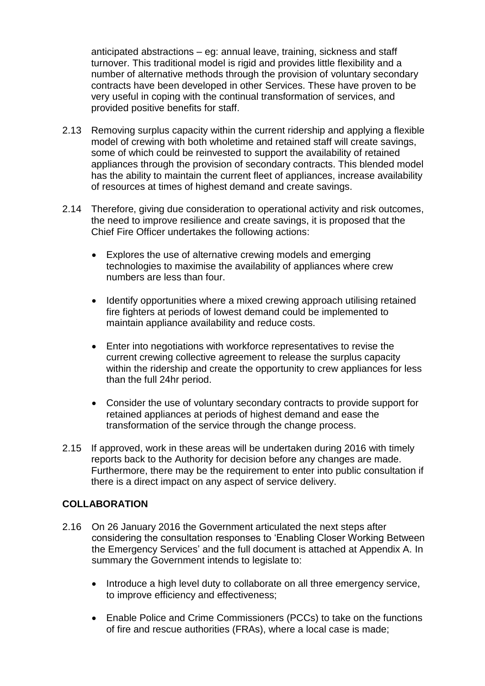anticipated abstractions – eg: annual leave, training, sickness and staff turnover. This traditional model is rigid and provides little flexibility and a number of alternative methods through the provision of voluntary secondary contracts have been developed in other Services. These have proven to be very useful in coping with the continual transformation of services, and provided positive benefits for staff.

- 2.13 Removing surplus capacity within the current ridership and applying a flexible model of crewing with both wholetime and retained staff will create savings, some of which could be reinvested to support the availability of retained appliances through the provision of secondary contracts. This blended model has the ability to maintain the current fleet of appliances, increase availability of resources at times of highest demand and create savings.
- 2.14 Therefore, giving due consideration to operational activity and risk outcomes, the need to improve resilience and create savings, it is proposed that the Chief Fire Officer undertakes the following actions:
	- Explores the use of alternative crewing models and emerging technologies to maximise the availability of appliances where crew numbers are less than four.
	- Identify opportunities where a mixed crewing approach utilising retained fire fighters at periods of lowest demand could be implemented to maintain appliance availability and reduce costs.
	- Enter into negotiations with workforce representatives to revise the current crewing collective agreement to release the surplus capacity within the ridership and create the opportunity to crew appliances for less than the full 24hr period.
	- Consider the use of voluntary secondary contracts to provide support for retained appliances at periods of highest demand and ease the transformation of the service through the change process.
- 2.15 If approved, work in these areas will be undertaken during 2016 with timely reports back to the Authority for decision before any changes are made. Furthermore, there may be the requirement to enter into public consultation if there is a direct impact on any aspect of service delivery.

### **COLLABORATION**

- 2.16 On 26 January 2016 the Government articulated the next steps after considering the consultation responses to 'Enabling Closer Working Between the Emergency Services' and the full document is attached at Appendix A. In summary the Government intends to legislate to:
	- Introduce a high level duty to collaborate on all three emergency service, to improve efficiency and effectiveness;
	- Enable Police and Crime Commissioners (PCCs) to take on the functions of fire and rescue authorities (FRAs), where a local case is made;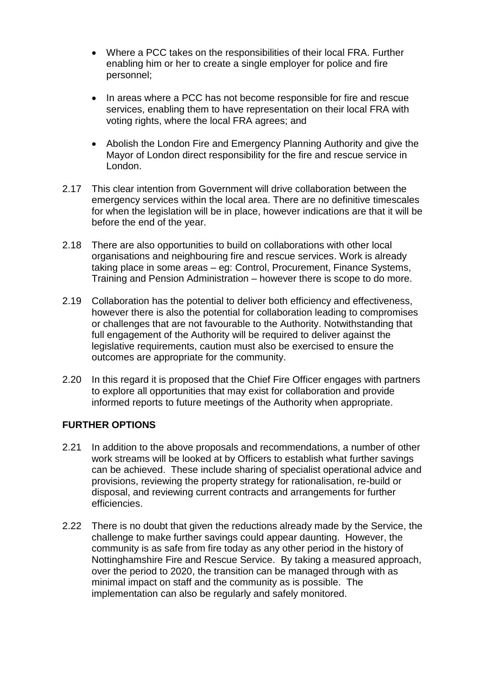- Where a PCC takes on the responsibilities of their local FRA. Further enabling him or her to create a single employer for police and fire personnel;
- In areas where a PCC has not become responsible for fire and rescue services, enabling them to have representation on their local FRA with voting rights, where the local FRA agrees; and
- Abolish the London Fire and Emergency Planning Authority and give the Mayor of London direct responsibility for the fire and rescue service in London.
- 2.17 This clear intention from Government will drive collaboration between the emergency services within the local area. There are no definitive timescales for when the legislation will be in place, however indications are that it will be before the end of the year.
- 2.18 There are also opportunities to build on collaborations with other local organisations and neighbouring fire and rescue services. Work is already taking place in some areas – eg: Control, Procurement, Finance Systems, Training and Pension Administration – however there is scope to do more.
- 2.19 Collaboration has the potential to deliver both efficiency and effectiveness, however there is also the potential for collaboration leading to compromises or challenges that are not favourable to the Authority. Notwithstanding that full engagement of the Authority will be required to deliver against the legislative requirements, caution must also be exercised to ensure the outcomes are appropriate for the community.
- 2.20 In this regard it is proposed that the Chief Fire Officer engages with partners to explore all opportunities that may exist for collaboration and provide informed reports to future meetings of the Authority when appropriate.

### **FURTHER OPTIONS**

- 2.21 In addition to the above proposals and recommendations, a number of other work streams will be looked at by Officers to establish what further savings can be achieved. These include sharing of specialist operational advice and provisions, reviewing the property strategy for rationalisation, re-build or disposal, and reviewing current contracts and arrangements for further efficiencies.
- 2.22 There is no doubt that given the reductions already made by the Service, the challenge to make further savings could appear daunting. However, the community is as safe from fire today as any other period in the history of Nottinghamshire Fire and Rescue Service. By taking a measured approach, over the period to 2020, the transition can be managed through with as minimal impact on staff and the community as is possible. The implementation can also be regularly and safely monitored.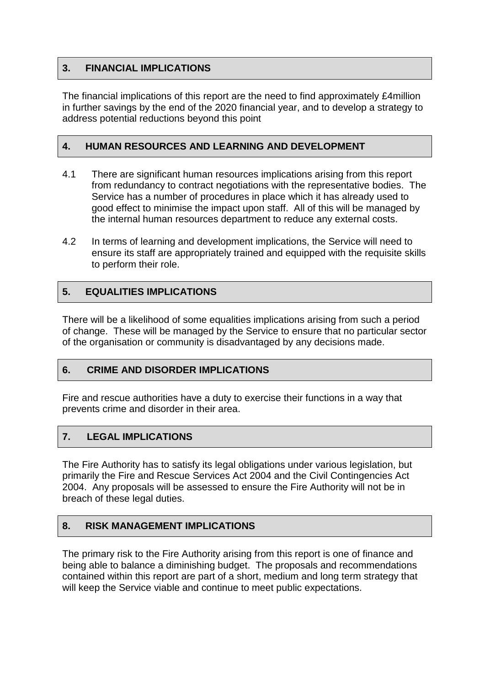### **3. FINANCIAL IMPLICATIONS**

The financial implications of this report are the need to find approximately £4million in further savings by the end of the 2020 financial year, and to develop a strategy to address potential reductions beyond this point

### **4. HUMAN RESOURCES AND LEARNING AND DEVELOPMENT**

- 4.1 There are significant human resources implications arising from this report from redundancy to contract negotiations with the representative bodies. The Service has a number of procedures in place which it has already used to good effect to minimise the impact upon staff. All of this will be managed by the internal human resources department to reduce any external costs.
- 4.2 In terms of learning and development implications, the Service will need to ensure its staff are appropriately trained and equipped with the requisite skills to perform their role.

### **5. EQUALITIES IMPLICATIONS**

There will be a likelihood of some equalities implications arising from such a period of change. These will be managed by the Service to ensure that no particular sector of the organisation or community is disadvantaged by any decisions made.

### **6. CRIME AND DISORDER IMPLICATIONS**

Fire and rescue authorities have a duty to exercise their functions in a way that prevents crime and disorder in their area.

### **7. LEGAL IMPLICATIONS**

The Fire Authority has to satisfy its legal obligations under various legislation, but primarily the Fire and Rescue Services Act 2004 and the Civil Contingencies Act 2004. Any proposals will be assessed to ensure the Fire Authority will not be in breach of these legal duties.

### **8. RISK MANAGEMENT IMPLICATIONS**

The primary risk to the Fire Authority arising from this report is one of finance and being able to balance a diminishing budget. The proposals and recommendations contained within this report are part of a short, medium and long term strategy that will keep the Service viable and continue to meet public expectations.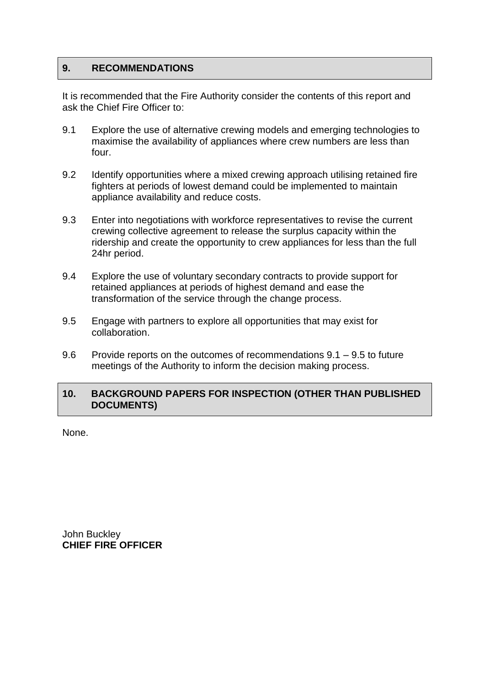### **9. RECOMMENDATIONS**

It is recommended that the Fire Authority consider the contents of this report and ask the Chief Fire Officer to:

- 9.1 Explore the use of alternative crewing models and emerging technologies to maximise the availability of appliances where crew numbers are less than four.
- 9.2 Identify opportunities where a mixed crewing approach utilising retained fire fighters at periods of lowest demand could be implemented to maintain appliance availability and reduce costs.
- 9.3 Enter into negotiations with workforce representatives to revise the current crewing collective agreement to release the surplus capacity within the ridership and create the opportunity to crew appliances for less than the full 24hr period.
- 9.4 Explore the use of voluntary secondary contracts to provide support for retained appliances at periods of highest demand and ease the transformation of the service through the change process.
- 9.5 Engage with partners to explore all opportunities that may exist for collaboration.
- 9.6 Provide reports on the outcomes of recommendations 9.1 9.5 to future meetings of the Authority to inform the decision making process.

### **10. BACKGROUND PAPERS FOR INSPECTION (OTHER THAN PUBLISHED DOCUMENTS)**

None.

John Buckley **CHIEF FIRE OFFICER**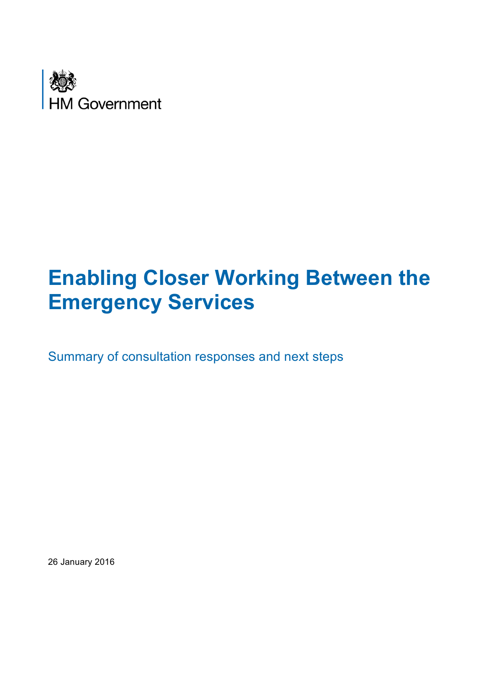

# **Enabling Closer Working Between the Emergency Services**

Summary of consultation responses and next steps

26 January 2016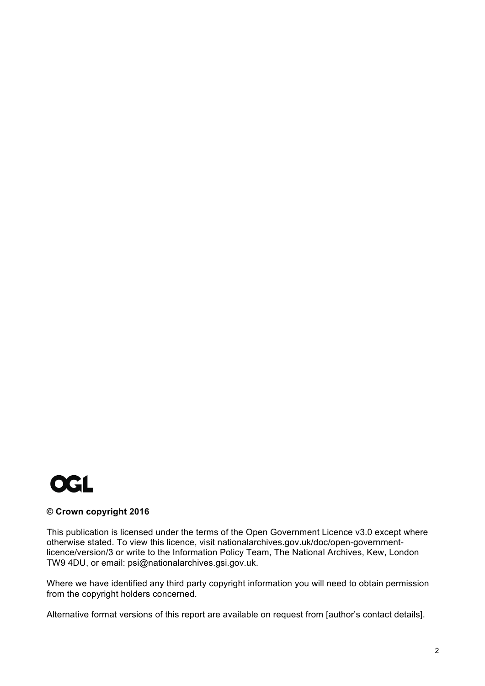

#### **© Crown copyright 2016**

 This publication is licensed under the terms of the Open Government Licence v3.0 except where otherwise stated. To view this licence, visit nationalarchives.gov.uk/doc/open-government- licence/version/3 or write to the Information Policy Team, The National Archives, Kew, London TW9 4DU, or email: psi@nationalarchives.gsi.gov.uk.

 Where we have identified any third party copyright information you will need to obtain permission from the copyright holders concerned.

Alternative format versions of this report are available on request from [author's contact details].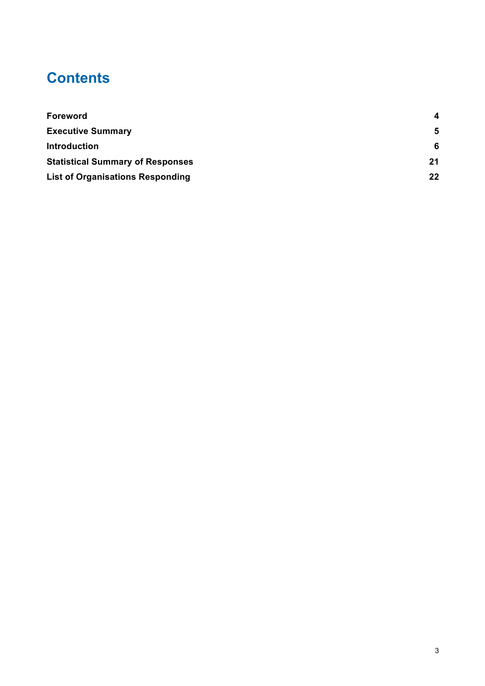# **Contents**

| Foreword                                | 4  |
|-----------------------------------------|----|
| <b>Executive Summary</b>                | 5  |
| <b>Introduction</b>                     | -6 |
| <b>Statistical Summary of Responses</b> | 21 |
| <b>List of Organisations Responding</b> | 22 |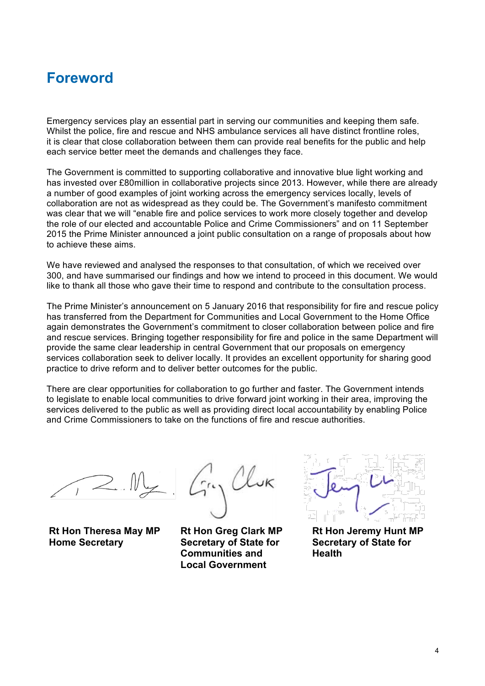## **Foreword**

 Emergency services play an essential part in serving our communities and keeping them safe. Whilst the police, fire and rescue and NHS ambulance services all have distinct frontline roles, it is clear that close collaboration between them can provide real benefits for the public and help each service better meet the demands and challenges they face.

 The Government is committed to supporting collaborative and innovative blue light working and has invested over £80million in collaborative projects since 2013. However, while there are already a number of good examples of joint working across the emergency services locally, levels of collaboration are not as widespread as they could be. The Government's manifesto commitment was clear that we will "enable fire and police services to work more closely together and develop 2015 the Prime Minister announced a joint public consultation on a range of proposals about how the role of our elected and accountable Police and Crime Commissioners" and on 11 September to achieve these aims.

 We have reviewed and analysed the responses to that consultation, of which we received over 300, and have summarised our findings and how we intend to proceed in this document. We would like to thank all those who gave their time to respond and contribute to the consultation process.

 The Prime Minister's announcement on 5 January 2016 that responsibility for fire and rescue policy again demonstrates the Government's commitment to closer collaboration between police and fire and rescue services. Bringing together responsibility for fire and police in the same Department will provide the same clear leadership in central Government that our proposals on emergency services collaboration seek to deliver locally. It provides an excellent opportunity for sharing good practice to drive reform and to deliver better outcomes for the public. has transferred from the Department for Communities and Local Government to the Home Office

 There are clear opportunities for collaboration to go further and faster. The Government intends and Crime Commissioners to take on the functions of fire and rescue authorities. to legislate to enable local communities to drive forward joint working in their area, improving the services delivered to the public as well as providing direct local accountability by enabling Police

**Home Secretary Secretary of State for Secretary of State for** 

**Communities and Fealth Local Government** 



Rt Hon Theresa May MP Rt Hon Greg Clark MP Rt Hon Jeremy Hunt MP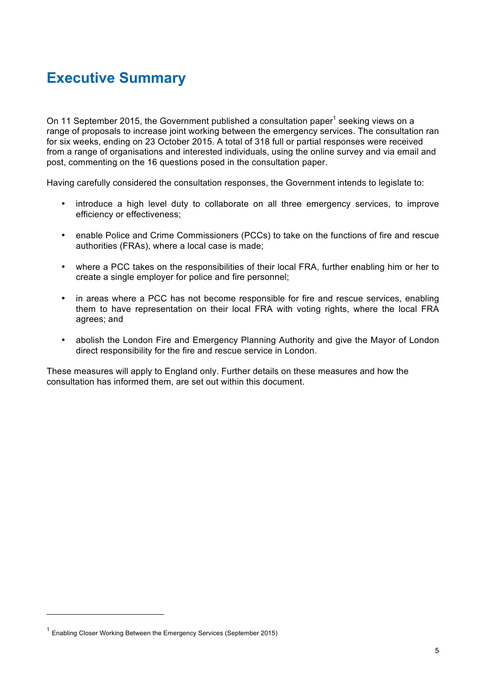# **Executive Summary**

On 11 September 2015, the Government published a consultation paper<sup>1</sup> seeking views on a range of proposals to increase joint working between the emergency services. The consultation ran for six weeks, ending on 23 October 2015. A total of 318 full or partial responses were received post, commenting on the 16 questions posed in the consultation paper. from a range of organisations and interested individuals, using the online survey and via email and

Having carefully considered the consultation responses, the Government intends to legislate to:

- • introduce a high level duty to collaborate on all three emergency services, to improve efficiency or effectiveness;
- enable Police and Crime Commissioners (PCCs) to take on the functions of fire and rescue authorities (FRAs), where a local case is made;
- where a PCC takes on the responsibilities of their local FRA, further enabling him or her to create a single employer for police and fire personnel;
- in areas where a PCC has not become responsible for fire and rescue services, enabling them to have representation on their local FRA with voting rights, where the local FRA agrees; and
- abolish the London Fire and Emergency Planning Authority and give the Mayor of London direct responsibility for the fire and rescue service in London.

 These measures will apply to England only. Further details on these measures and how the consultation has informed them, are set out within this document.

 $1$  Enabling Closer Working Between the Emergency Services (September 2015)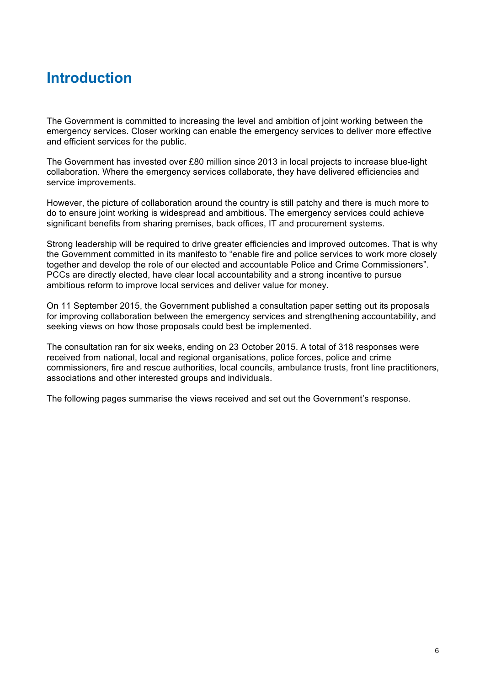# **Introduction**

 The Government is committed to increasing the level and ambition of joint working between the emergency services. Closer working can enable the emergency services to deliver more effective and efficient services for the public.

 The Government has invested over £80 million since 2013 in local projects to increase blue-light collaboration. Where the emergency services collaborate, they have delivered efficiencies and service improvements.

 However, the picture of collaboration around the country is still patchy and there is much more to do to ensure joint working is widespread and ambitious. The emergency services could achieve significant benefits from sharing premises, back offices, IT and procurement systems.

 Strong leadership will be required to drive greater efficiencies and improved outcomes. That is why PCCs are directly elected, have clear local accountability and a strong incentive to pursue ambitious reform to improve local services and deliver value for money. the Government committed in its manifesto to "enable fire and police services to work more closely together and develop the role of our elected and accountable Police and Crime Commissioners".

 On 11 September 2015, the Government published a consultation paper setting out its proposals for improving collaboration between the emergency services and strengthening accountability, and seeking views on how those proposals could best be implemented.

 The consultation ran for six weeks, ending on 23 October 2015. A total of 318 responses were received from national, local and regional organisations, police forces, police and crime commissioners, fire and rescue authorities, local councils, ambulance trusts, front line practitioners, associations and other interested groups and individuals.

The following pages summarise the views received and set out the Government's response.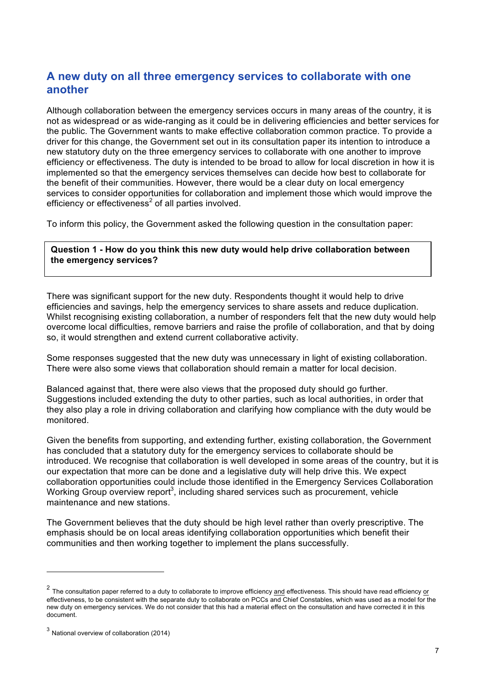## **A new duty on all three emergency services to collaborate with one another**

 Although collaboration between the emergency services occurs in many areas of the country, it is not as widespread or as wide-ranging as it could be in delivering efficiencies and better services for the public. The Government wants to make effective collaboration common practice. To provide a driver for this change, the Government set out in its consultation paper its intention to introduce a new statutory duty on the three emergency services to collaborate with one another to improve efficiency or effectiveness. The duty is intended to be broad to allow for local discretion in how it is implemented so that the emergency services themselves can decide how best to collaborate for services to consider opportunities for collaboration and implement those which would improve the efficiency or effectiveness<sup>2</sup> of all parties involved. the benefit of their communities. However, there would be a clear duty on local emergency

To inform this policy, the Government asked the following question in the consultation paper:

 **Question 1 - How do you think this new duty would help drive collaboration between the emergency services?** 

 There was significant support for the new duty. Respondents thought it would help to drive efficiencies and savings, help the emergency services to share assets and reduce duplication. Whilst recognising existing collaboration, a number of responders felt that the new duty would help overcome local difficulties, remove barriers and raise the profile of collaboration, and that by doing so, it would strengthen and extend current collaborative activity.

 Some responses suggested that the new duty was unnecessary in light of existing collaboration. There were also some views that collaboration should remain a matter for local decision.

 Balanced against that, there were also views that the proposed duty should go further. they also play a role in driving collaboration and clarifying how compliance with the duty would be Suggestions included extending the duty to other parties, such as local authorities, in order that monitored.

 Given the benefits from supporting, and extending further, existing collaboration, the Government has concluded that a statutory duty for the emergency services to collaborate should be introduced. We recognise that collaboration is well developed in some areas of the country, but it is our expectation that more can be done and a legislative duty will help drive this. We expect collaboration opportunities could include those identified in the Emergency Services Collaboration Working Group overview report<sup>3</sup>, including shared services such as procurement, vehicle maintenance and new stations.

 The Government believes that the duty should be high level rather than overly prescriptive. The emphasis should be on local areas identifying collaboration opportunities which benefit their communities and then working together to implement the plans successfully.

 $^2$  The consultation paper referred to a duty to collaborate to improve efficiency and effectiveness. This should have read efficiency or effectiveness, to be consistent with the separate duty to collaborate on PCCs and Chief Constables, which was used as a model for the new duty on emergency services. We do not consider that this had a material effect on the consultation and have corrected it in this document.

 $3$  National overview of collaboration (2014)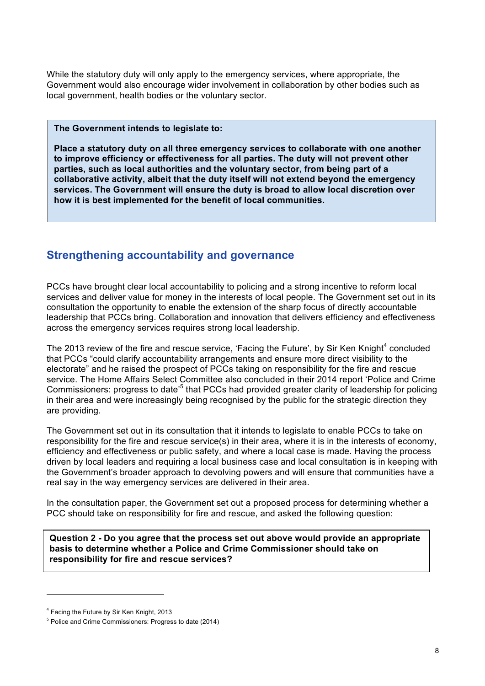While the statutory duty will only apply to the emergency services, where appropriate, the Government would also encourage wider involvement in collaboration by other bodies such as local government, health bodies or the voluntary sector.

#### **The Government intends to legislate to:**

 **Place a statutory duty on all three emergency services to collaborate with one another to improve efficiency or effectiveness for all parties. The duty will not prevent other collaborative activity, albeit that the duty itself will not extend beyond the emergency services. The Government will ensure the duty is broad to allow local discretion over**  how it is best implemented for the benefit of local communities. **parties, such as local authorities and the voluntary sector, from being part of a** 

### **Strengthening accountability and governance**

 PCCs have brought clear local accountability to policing and a strong incentive to reform local services and deliver value for money in the interests of local people. The Government set out in its consultation the opportunity to enable the extension of the sharp focus of directly accountable leadership that PCCs bring. Collaboration and innovation that delivers efficiency and effectiveness across the emergency services requires strong local leadership.

The 2013 review of the fire and rescue service, 'Facing the Future', by Sir Ken Knight<sup>4</sup> concluded that PCCs "could clarify accountability arrangements and ensure more direct visibility to the electorate" and he raised the prospect of PCCs taking on responsibility for the fire and rescue service. The Home Affairs Select Committee also concluded in their 2014 report 'Police and Crime Commissioners: progress to date<sup>35</sup> that PCCs had provided greater clarity of leadership for policing in their area and were increasingly being recognised by the public for the strategic direction they are providing.

 The Government set out in its consultation that it intends to legislate to enable PCCs to take on responsibility for the fire and rescue service(s) in their area, where it is in the interests of economy, efficiency and effectiveness or public safety, and where a local case is made. Having the process driven by local leaders and requiring a local business case and local consultation is in keeping with real say in the way emergency services are delivered in their area. the Government's broader approach to devolving powers and will ensure that communities have a

 In the consultation paper, the Government set out a proposed process for determining whether a PCC should take on responsibility for fire and rescue, and asked the following question:

 **basis to determine whether a Police and Crime Commissioner should take on Question 2 - Do you agree that the process set out above would provide an appropriate responsibility for fire and rescue services?** 

<sup>&</sup>lt;sup>4</sup> Facing the Future by Sir Ken Knight, 2013

<sup>&</sup>lt;sup>5</sup> Police and Crime Commissioners: Progress to date (2014)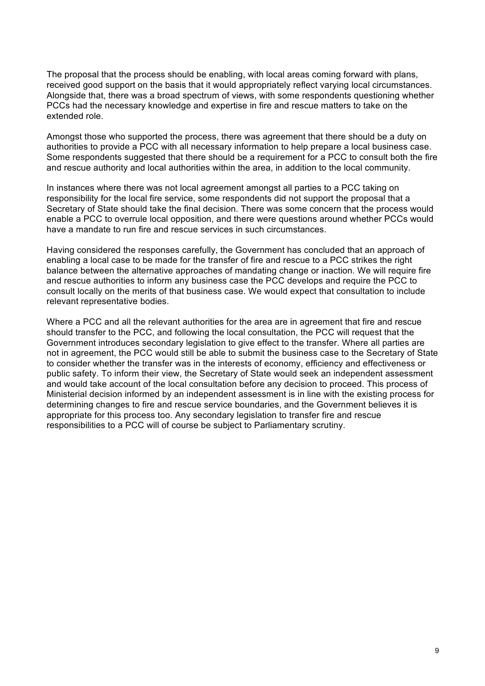The proposal that the process should be enabling, with local areas coming forward with plans, received good support on the basis that it would appropriately reflect varying local circumstances. Alongside that, there was a broad spectrum of views, with some respondents questioning whether PCCs had the necessary knowledge and expertise in fire and rescue matters to take on the extended role.

 Amongst those who supported the process, there was agreement that there should be a duty on authorities to provide a PCC with all necessary information to help prepare a local business case. Some respondents suggested that there should be a requirement for a PCC to consult both the fire and rescue authority and local authorities within the area, in addition to the local community.

 In instances where there was not local agreement amongst all parties to a PCC taking on responsibility for the local fire service, some respondents did not support the proposal that a Secretary of State should take the final decision. There was some concern that the process would enable a PCC to overrule local opposition, and there were questions around whether PCCs would have a mandate to run fire and rescue services in such circumstances.

 Having considered the responses carefully, the Government has concluded that an approach of enabling a local case to be made for the transfer of fire and rescue to a PCC strikes the right balance between the alternative approaches of mandating change or inaction. We will require fire and rescue authorities to inform any business case the PCC develops and require the PCC to consult locally on the merits of that business case. We would expect that consultation to include relevant representative bodies.

 Where a PCC and all the relevant authorities for the area are in agreement that fire and rescue should transfer to the PCC, and following the local consultation, the PCC will request that the Government introduces secondary legislation to give effect to the transfer. Where all parties are not in agreement, the PCC would still be able to submit the business case to the Secretary of State public safety. To inform their view, the Secretary of State would seek an independent assessment and would take account of the local consultation before any decision to proceed. This process of Ministerial decision informed by an independent assessment is in line with the existing process for determining changes to fire and rescue service boundaries, and the Government believes it is appropriate for this process too. Any secondary legislation to transfer fire and rescue responsibilities to a PCC will of course be subject to Parliamentary scrutiny. to consider whether the transfer was in the interests of economy, efficiency and effectiveness or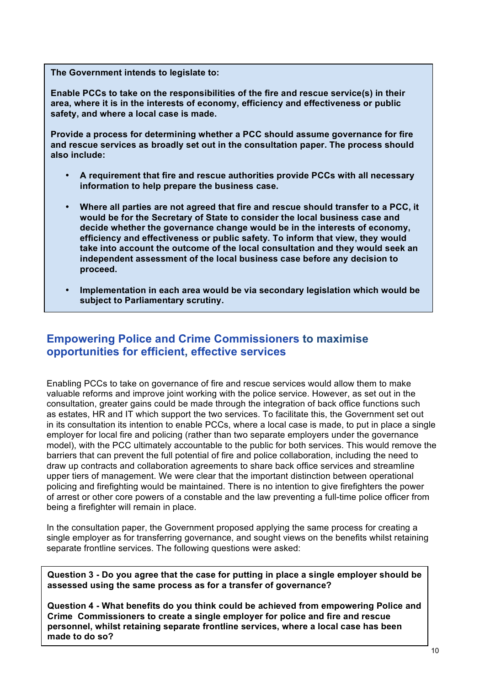**The Government intends to legislate to:** 

 **Enable PCCs to take on the responsibilities of the fire and rescue service(s) in their area, where it is in the interests of economy, efficiency and effectiveness or public safety, and where a local case is made.** 

**Provide a process for determining whether a PCC should assume governance for fire and rescue services as broadly set out in the consultation paper. The process should also include:** 

- • **A requirement that fire and rescue authorities provide PCCs with all necessary information to help prepare the business case.**
- • **Where all parties are not agreed that fire and rescue should transfer to a PCC, it would be for the Secretary of State to consider the local business case and decide whether the governance change would be in the interests of economy, efficiency and effectiveness or public safety. To inform that view, they would take into account the outcome of the local consultation and they would seek an independent assessment of the local business case before any decision to proceed.**
- **subject to Parliamentary scrutiny.**  Implementation in each area would be via secondary legislation which would be

### **Empowering Police and Crime Commissioners to maximise opportunities for efficient, effective services**

 Enabling PCCs to take on governance of fire and rescue services would allow them to make valuable reforms and improve joint working with the police service. However, as set out in the consultation, greater gains could be made through the integration of back office functions such as estates, HR and IT which support the two services. To facilitate this, the Government set out in its consultation its intention to enable PCCs, where a local case is made, to put in place a single employer for local fire and policing (rather than two separate employers under the governance model), with the PCC ultimately accountable to the public for both services. This would remove the barriers that can prevent the full potential of fire and police collaboration, including the need to upper tiers of management. We were clear that the important distinction between operational policing and firefighting would be maintained. There is no intention to give firefighters the power of arrest or other core powers of a constable and the law preventing a full-time police officer from being a firefighter will remain in place. draw up contracts and collaboration agreements to share back office services and streamline

 In the consultation paper, the Government proposed applying the same process for creating a single employer as for transferring governance, and sought views on the benefits whilst retaining separate frontline services. The following questions were asked:

 **Question 3 - Do you agree that the case for putting in place a single employer should be assessed using the same process as for a transfer of governance?** 

 **Question 4 - What benefits do you think could be achieved from empowering Police and Crime Commissioners to create a single employer for police and fire and rescue made to do so? personnel, whilst retaining separate frontline services, where a local case has been**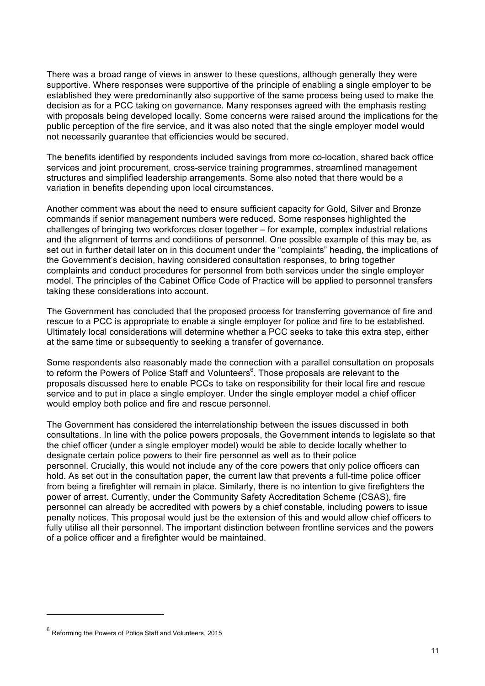There was a broad range of views in answer to these questions, although generally they were supportive. Where responses were supportive of the principle of enabling a single employer to be decision as for a PCC taking on governance. Many responses agreed with the emphasis resting with proposals being developed locally. Some concerns were raised around the implications for the public perception of the fire service, and it was also noted that the single employer model would not necessarily guarantee that efficiencies would be secured. established they were predominantly also supportive of the same process being used to make the

not necessarily guarantee that efficiencies would be secured.<br>The benefits identified by respondents included savings from more co-location, shared back office services and joint procurement, cross-service training programmes, streamlined management structures and simplified leadership arrangements. Some also noted that there would be a variation in benefits depending upon local circumstances.

 Another comment was about the need to ensure sufficient capacity for Gold, Silver and Bronze commands if senior management numbers were reduced. Some responses highlighted the challenges of bringing two workforces closer together – for example, complex industrial relations and the alignment of terms and conditions of personnel. One possible example of this may be, as set out in further detail later on in this document under the "complaints" heading, the implications of complaints and conduct procedures for personnel from both services under the single employer model. The principles of the Cabinet Office Code of Practice will be applied to personnel transfers the Government's decision, having considered consultation responses, to bring together taking these considerations into account.

 The Government has concluded that the proposed process for transferring governance of fire and rescue to a PCC is appropriate to enable a single employer for police and fire to be established. Ultimately local considerations will determine whether a PCC seeks to take this extra step, either at the same time or subsequently to seeking a transfer of governance.

 Some respondents also reasonably made the connection with a parallel consultation on proposals service and to put in place a single employer. Under the single employer model a chief officer would employ both police and fire and rescue personnel. to reform the Powers of Police Staff and Volunteers<sup>6</sup>. Those proposals are relevant to the proposals discussed here to enable PCCs to take on responsibility for their local fire and rescue

would employ both police and fire and rescue personnel.<br>The Government has considered the interrelationship between the issues discussed in both the chief officer (under a single employer model) would be able to decide locally whether to designate certain police powers to their fire personnel as well as to their police personnel. Crucially, this would not include any of the core powers that only police officers can hold. As set out in the consultation paper, the current law that prevents a full-time police officer power of arrest. Currently, under the Community Safety Accreditation Scheme (CSAS), fire personnel can already be accredited with powers by a chief constable, including powers to issue penalty notices. This proposal would just be the extension of this and would allow chief officers to fully utilise all their personnel. The important distinction between frontline services and the powers of a police officer and a firefighter would be maintained. consultations. In line with the police powers proposals, the Government intends to legislate so that from being a firefighter will remain in place. Similarly, there is no intention to give firefighters the of a police officer and a firefighter would be maintained. 6 Reforming the Powers of Police Staff and Volunteers, 2015

 $6$  Reforming the Powers of Police Staff and Volunteers, 2015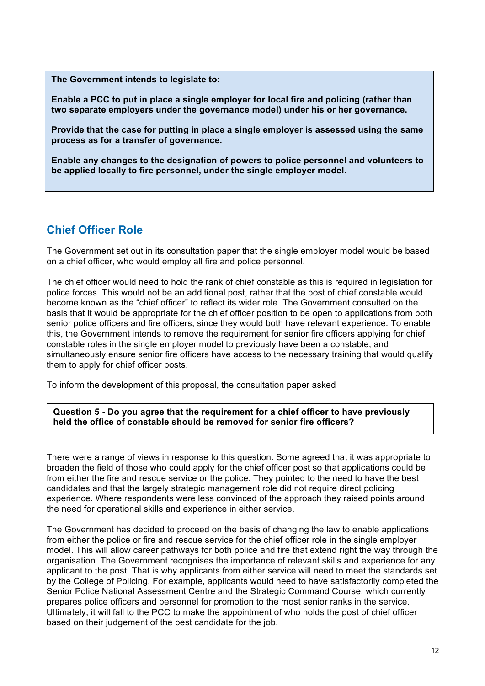**The Government intends to legislate to:** 

 **Enable a PCC to put in place a single employer for local fire and policing (rather than two separate employers under the governance model) under his or her governance.** 

 **Provide that the case for putting in place a single employer is assessed using the same process as for a transfer of governance.** 

 **Enable any changes to the designation of powers to police personnel and volunteers to be applied locally to fire personnel, under the single employer model.** 

## **Chief Officer Role**

 The Government set out in its consultation paper that the single employer model would be based on a chief officer, who would employ all fire and police personnel.

 The chief officer would need to hold the rank of chief constable as this is required in legislation for police forces. This would not be an additional post, rather that the post of chief constable would become known as the "chief officer" to reflect its wider role. The Government consulted on the basis that it would be appropriate for the chief officer position to be open to applications from both senior police officers and fire officers, since they would both have relevant experience. To enable this, the Government intends to remove the requirement for senior fire officers applying for chief constable roles in the single employer model to previously have been a constable, and simultaneously ensure senior fire officers have access to the necessary training that would qualify them to apply for chief officer posts.

To inform the development of this proposal, the consultation paper asked

 **held the office of constable should be removed for senior fire officers? Question 5 - Do you agree that the requirement for a chief officer to have previously** 

 There were a range of views in response to this question. Some agreed that it was appropriate to broaden the field of those who could apply for the chief officer post so that applications could be from either the fire and rescue service or the police. They pointed to the need to have the best candidates and that the largely strategic management role did not require direct policing experience. Where respondents were less convinced of the approach they raised points around the need for operational skills and experience in either service.

 The Government has decided to proceed on the basis of changing the law to enable applications from either the police or fire and rescue service for the chief officer role in the single employer model. This will allow career pathways for both police and fire that extend right the way through the organisation. The Government recognises the importance of relevant skills and experience for any applicant to the post. That is why applicants from either service will need to meet the standards set by the College of Policing. For example, applicants would need to have satisfactorily completed the Senior Police National Assessment Centre and the Strategic Command Course, which currently Ultimately, it will fall to the PCC to make the appointment of who holds the post of chief officer based on their judgement of the best candidate for the job. prepares police officers and personnel for promotion to the most senior ranks in the service.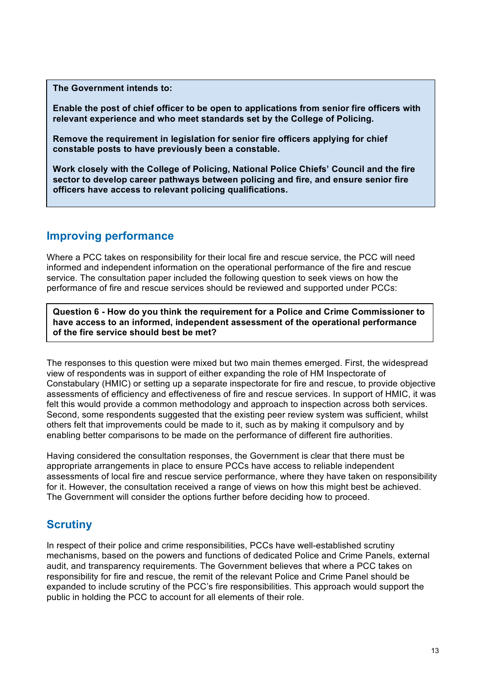**The Government intends to:** 

 **Enable the post of chief officer to be open to applications from senior fire officers with relevant experience and who meet standards set by the College of Policing.** 

 **Remove the requirement in legislation for senior fire officers applying for chief constable posts to have previously been a constable.** 

 **Work closely with the College of Policing, National Police Chiefs' Council and the fire sector to develop career pathways between policing and fire, and ensure senior fire officers have access to relevant policing qualifications.** 

## **Improving performance**

 Where a PCC takes on responsibility for their local fire and rescue service, the PCC will need informed and independent information on the operational performance of the fire and rescue service. The consultation paper included the following question to seek views on how the performance of fire and rescue services should be reviewed and supported under PCCs:

 **of the fire service should best be met? Question 6 - How do you think the requirement for a Police and Crime Commissioner to have access to an informed, independent assessment of the operational performance** 

 The responses to this question were mixed but two main themes emerged. First, the widespread view of respondents was in support of either expanding the role of HM Inspectorate of assessments of efficiency and effectiveness of fire and rescue services. In support of HMIC, it was felt this would provide a common methodology and approach to inspection across both services. Second, some respondents suggested that the existing peer review system was sufficient, whilst others felt that improvements could be made to it, such as by making it compulsory and by enabling better comparisons to be made on the performance of different fire authorities. Constabulary (HMIC) or setting up a separate inspectorate for fire and rescue, to provide objective

 Having considered the consultation responses, the Government is clear that there must be assessments of local fire and rescue service performance, where they have taken on responsibility for it. However, the consultation received a range of views on how this might best be achieved. The Government will consider the options further before deciding how to proceed. appropriate arrangements in place to ensure PCCs have access to reliable independent

## **Scrutiny**

 mechanisms, based on the powers and functions of dedicated Police and Crime Panels, external audit, and transparency requirements. The Government believes that where a PCC takes on responsibility for fire and rescue, the remit of the relevant Police and Crime Panel should be expanded to include scrutiny of the PCC's fire responsibilities. This approach would support the In respect of their police and crime responsibilities, PCCs have well-established scrutiny public in holding the PCC to account for all elements of their role.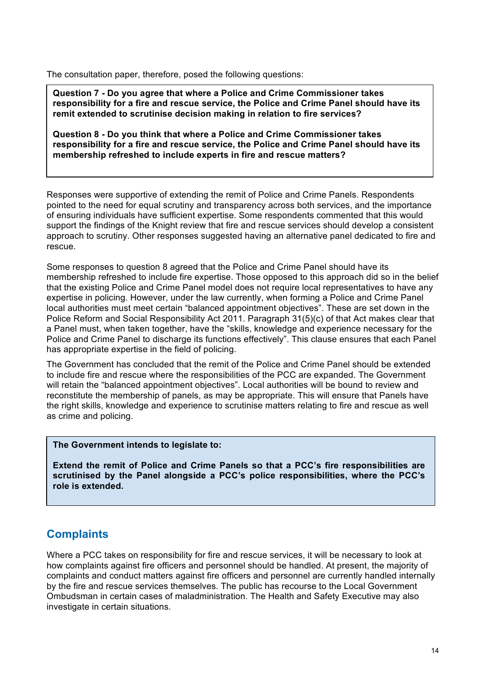The consultation paper, therefore, posed the following questions:

 **responsibility for a fire and rescue service, the Police and Crime Panel should have its Question 7 - Do you agree that where a Police and Crime Commissioner takes remit extended to scrutinise decision making in relation to fire services?** 

 **Question 8 - Do you think that where a Police and Crime Commissioner takes responsibility for a fire and rescue service, the Police and Crime Panel should have its membership refreshed to include experts in fire and rescue matters?** 

 Responses were supportive of extending the remit of Police and Crime Panels. Respondents pointed to the need for equal scrutiny and transparency across both services, and the importance of ensuring individuals have sufficient expertise. Some respondents commented that this would support the findings of the Knight review that fire and rescue services should develop a consistent approach to scrutiny. Other responses suggested having an alternative panel dedicated to fire and rescue.

 Some responses to question 8 agreed that the Police and Crime Panel should have its membership refreshed to include fire expertise. Those opposed to this approach did so in the belief that the existing Police and Crime Panel model does not require local representatives to have any expertise in policing. However, under the law currently, when forming a Police and Crime Panel local authorities must meet certain "balanced appointment objectives". These are set down in the Police Reform and Social Responsibility Act 2011. Paragraph 31(5)(c) of that Act makes clear that a Panel must, when taken together, have the "skills, knowledge and experience necessary for the Police and Crime Panel to discharge its functions effectively". This clause ensures that each Panel has appropriate expertise in the field of policing.

 The Government has concluded that the remit of the Police and Crime Panel should be extended to include fire and rescue where the responsibilities of the PCC are expanded. The Government will retain the "balanced appointment objectives". Local authorities will be bound to review and reconstitute the membership of panels, as may be appropriate. This will ensure that Panels have as crime and policing. the right skills, knowledge and experience to scrutinise matters relating to fire and rescue as well

#### **The Government intends to legislate to:**

 **Extend the remit of Police and Crime Panels so that a PCC's fire responsibilities are scrutinised by the Panel alongside a PCC's police responsibilities, where the PCC's role is extended.** 

### **Complaints**

 Where a PCC takes on responsibility for fire and rescue services, it will be necessary to look at how complaints against fire officers and personnel should be handled. At present, the majority of complaints and conduct matters against fire officers and personnel are currently handled internally by the fire and rescue services themselves. The public has recourse to the Local Government Ombudsman in certain cases of maladministration. The Health and Safety Executive may also investigate in certain situations.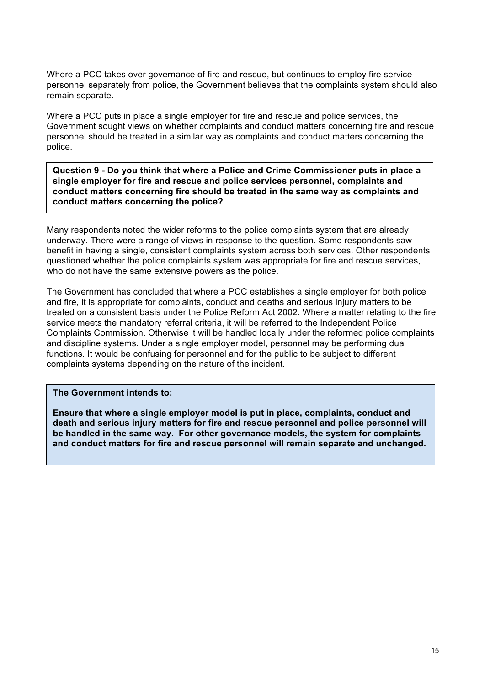Where a PCC takes over governance of fire and rescue, but continues to employ fire service personnel separately from police, the Government believes that the complaints system should also remain separate.

 Where a PCC puts in place a single employer for fire and rescue and police services, the Government sought views on whether complaints and conduct matters concerning fire and rescue personnel should be treated in a similar way as complaints and conduct matters concerning the police.

 **single employer for fire and rescue and police services personnel, complaints and conduct matters concerning fire should be treated in the same way as complaints and conduct matters concerning the police? Question 9 - Do you think that where a Police and Crime Commissioner puts in place a** 

 Many respondents noted the wider reforms to the police complaints system that are already underway. There were a range of views in response to the question. Some respondents saw benefit in having a single, consistent complaints system across both services. Other respondents questioned whether the police complaints system was appropriate for fire and rescue services, who do not have the same extensive powers as the police.

 The Government has concluded that where a PCC establishes a single employer for both police and fire, it is appropriate for complaints, conduct and deaths and serious injury matters to be treated on a consistent basis under the Police Reform Act 2002. Where a matter relating to the fire service meets the mandatory referral criteria, it will be referred to the Independent Police Complaints Commission. Otherwise it will be handled locally under the reformed police complaints and discipline systems. Under a single employer model, personnel may be performing dual functions. It would be confusing for personnel and for the public to be subject to different complaints systems depending on the nature of the incident.

**The Government intends to:** 

 **Ensure that where a single employer model is put in place, complaints, conduct and be handled in the same way. For other governance models, the system for complaints and conduct matters for fire and rescue personnel will remain separate and unchanged. death and serious injury matters for fire and rescue personnel and police personnel will**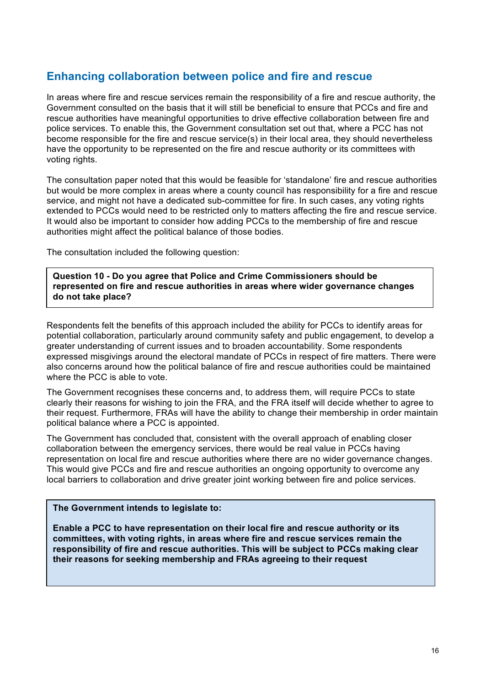### **Enhancing collaboration between police and fire and rescue**

 Government consulted on the basis that it will still be beneficial to ensure that PCCs and fire and rescue authorities have meaningful opportunities to drive effective collaboration between fire and police services. To enable this, the Government consultation set out that, where a PCC has not become responsible for the fire and rescue service(s) in their local area, they should nevertheless have the opportunity to be represented on the fire and rescue authority or its committees with In areas where fire and rescue services remain the responsibility of a fire and rescue authority, the voting rights.

 The consultation paper noted that this would be feasible for 'standalone' fire and rescue authorities but would be more complex in areas where a county council has responsibility for a fire and rescue service, and might not have a dedicated sub-committee for fire. In such cases, any voting rights extended to PCCs would need to be restricted only to matters affecting the fire and rescue service. It would also be important to consider how adding PCCs to the membership of fire and rescue authorities might affect the political balance of those bodies.

The consultation included the following question:

 **Question 10 - Do you agree that Police and Crime Commissioners should be represented on fire and rescue authorities in areas where wider governance changes do not take place?** 

 Respondents felt the benefits of this approach included the ability for PCCs to identify areas for potential collaboration, particularly around community safety and public engagement, to develop a greater understanding of current issues and to broaden accountability. Some respondents expressed misgivings around the electoral mandate of PCCs in respect of fire matters. There were also concerns around how the political balance of fire and rescue authorities could be maintained where the PCC is able to vote.

 The Government recognises these concerns and, to address them, will require PCCs to state clearly their reasons for wishing to join the FRA, and the FRA itself will decide whether to agree to their request. Furthermore, FRAs will have the ability to change their membership in order maintain political balance where a PCC is appointed.

 The Government has concluded that, consistent with the overall approach of enabling closer collaboration between the emergency services, there would be real value in PCCs having representation on local fire and rescue authorities where there are no wider governance changes. local barriers to collaboration and drive greater joint working between fire and police services. This would give PCCs and fire and rescue authorities an ongoing opportunity to overcome any

#### **The Government intends to legislate to:**

 **committees, with voting rights, in areas where fire and rescue services remain the their reasons for seeking membership and FRAs agreeing to their request Enable a PCC to have representation on their local fire and rescue authority or its responsibility of fire and rescue authorities. This will be subject to PCCs making clear**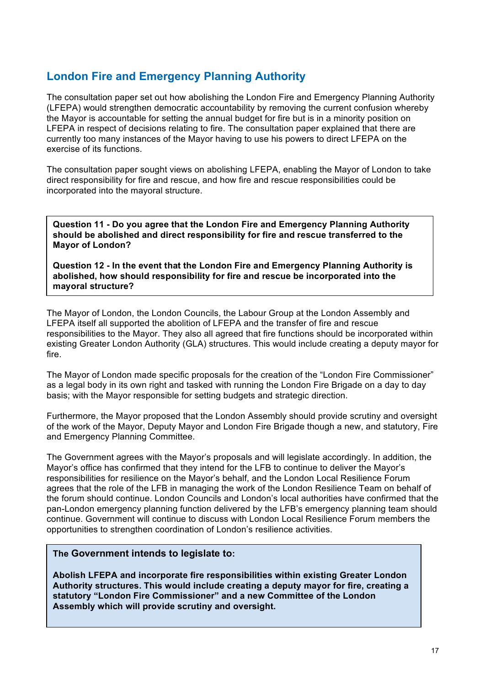## **London Fire and Emergency Planning Authority**

 The consultation paper set out how abolishing the London Fire and Emergency Planning Authority (LFEPA) would strengthen democratic accountability by removing the current confusion whereby LFEPA in respect of decisions relating to fire. The consultation paper explained that there are currently too many instances of the Mayor having to use his powers to direct LFEPA on the exercise of its functions. the Mayor is accountable for setting the annual budget for fire but is in a minority position on

 The consultation paper sought views on abolishing LFEPA, enabling the Mayor of London to take direct responsibility for fire and rescue, and how fire and rescue responsibilities could be incorporated into the mayoral structure.

 **Question 11 - Do you agree that the London Fire and Emergency Planning Authority should be abolished and direct responsibility for fire and rescue transferred to the Mayor of London?**

 **Question 12 - In the event that the London Fire and Emergency Planning Authority is abolished, how should responsibility for fire and rescue be incorporated into the mayoral structure?**

 The Mayor of London, the London Councils, the Labour Group at the London Assembly and LFEPA itself all supported the abolition of LFEPA and the transfer of fire and rescue responsibilities to the Mayor. They also all agreed that fire functions should be incorporated within existing Greater London Authority (GLA) structures. This would include creating a deputy mayor for fire.

 The Mayor of London made specific proposals for the creation of the "London Fire Commissioner" as a legal body in its own right and tasked with running the London Fire Brigade on a day to day basis; with the Mayor responsible for setting budgets and strategic direction.

 Furthermore, the Mayor proposed that the London Assembly should provide scrutiny and oversight of the work of the Mayor, Deputy Mayor and London Fire Brigade though a new, and statutory, Fire and Emergency Planning Committee.

 The Government agrees with the Mayor's proposals and will legislate accordingly. In addition, the Mayor's office has confirmed that they intend for the LFB to continue to deliver the Mayor's responsibilities for resilience on the Mayor's behalf, and the London Local Resilience Forum agrees that the role of the LFB in managing the work of the London Resilience Team on behalf of the forum should continue. London Councils and London's local authorities have confirmed that the continue. Government will continue to discuss with London Local Resilience Forum members the opportunities to strengthen coordination of London's resilience activities. pan-London emergency planning function delivered by the LFB's emergency planning team should

#### **The Government intends to legislate to:**

**Abolish LFEPA and incorporate fire responsibilities within existing Greater London Authority structures. This would include creating a deputy mayor for fire, creating a statutory "London Fire Commissioner" and a new Committee of the London Assembly which will provide scrutiny and oversight.**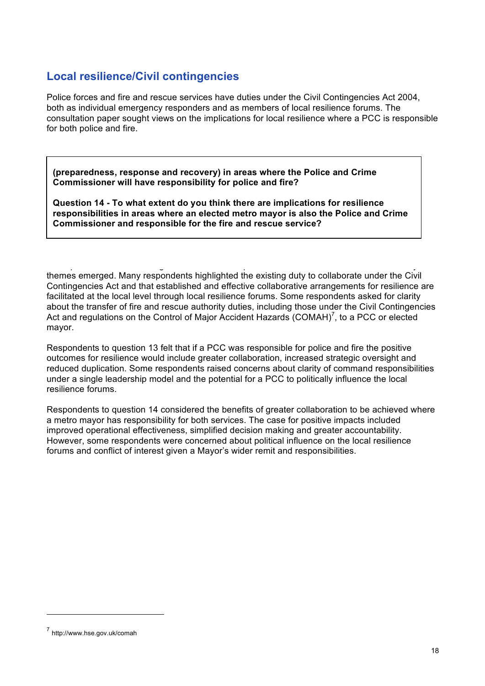### **Local resilience/Civil contingencies**

 Police forces and fire and rescue services have duties under the Civil Contingencies Act 2004, both as individual emergency responders and as members of local resilience forums. The consultation paper sought views on the implications for local resilience where a PCC is responsible for both police and fire.

 **(preparedness, response and recovery) in areas where the Police and Crime Commissioner will have responsibility for police and fire?** 

 **Question 14 - To what extent do you think there are implications for resilience responsibilities in areas where an elected metro mayor is also the Police and Crime Commissioner and responsible for the fire and rescue service?** 

 $\mathcal{L}_{\mathcal{G}}$  plus and  $\mathcal{G}_{\mathcal{G}}$  plus and  $\mathcal{G}_{\mathcal{G}}$  plus and  $\mathcal{G}_{\mathcal{G}}$  plus and  $\mathcal{G}_{\mathcal{G}}$ themes emerged. Many respondents highlighted the existing duty to collaborate under the Civil Contingencies Act and that established and effective collaborative arrangements for resilience are facilitated at the local level through local resilience forums. Some respondents asked for clarity about the transfer of fire and rescue authority duties, including those under the Civil Contingencies Act and regulations on the Control of Major Accident Hazards (COMAH)<sup>7</sup>, to a PCC or elected mayor.

mayor.<br>Respondents to question 13 felt that if a PCC was responsible for police and fire the positive outcomes for resilience would include greater collaboration, increased strategic oversight and reduced duplication. Some respondents raised concerns about clarity of command responsibilities under a single leadership model and the potential for a PCC to politically influence the local resilience forums.

 Respondents to question 14 considered the benefits of greater collaboration to be achieved where a metro mayor has responsibility for both services. The case for positive impacts included However, some respondents were concerned about political influence on the local resilience forums and conflict of interest given a Mayor's wider remit and responsibilities. improved operational effectiveness, simplified decision making and greater accountability.

<sup>7</sup> http://www.hse.gov.uk/comah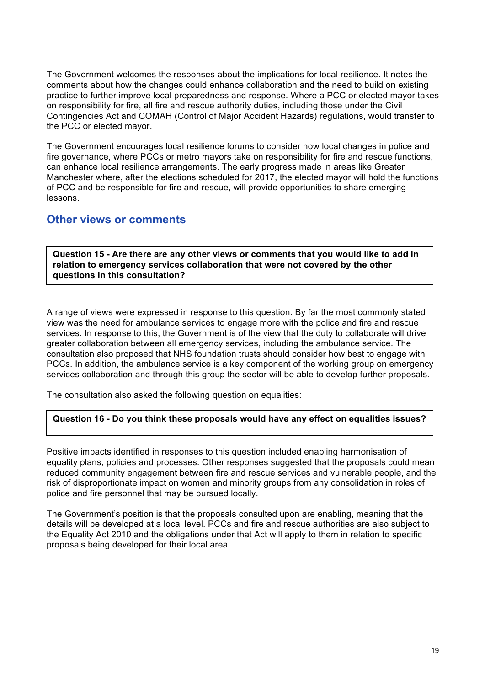The Government welcomes the responses about the implications for local resilience. It notes the practice to further improve local preparedness and response. Where a PCC or elected mayor takes on responsibility for fire, all fire and rescue authority duties, including those under the Civil Contingencies Act and COMAH (Control of Major Accident Hazards) regulations, would transfer to comments about how the changes could enhance collaboration and the need to build on existing the PCC or elected mayor.

 The Government encourages local resilience forums to consider how local changes in police and can enhance local resilience arrangements. The early progress made in areas like Greater Manchester where, after the elections scheduled for 2017, the elected mayor will hold the functions of PCC and be responsible for fire and rescue, will provide opportunities to share emerging fire governance, where PCCs or metro mayors take on responsibility for fire and rescue functions, lessons.

### **Other views or comments**

 **Question 15 - Are there are any other views or comments that you would like to add in relation to emergency services collaboration that were not covered by the other questions in this consultation?** 

 A range of views were expressed in response to this question. By far the most commonly stated view was the need for ambulance services to engage more with the police and fire and rescue services. In response to this, the Government is of the view that the duty to collaborate will drive greater collaboration between all emergency services, including the ambulance service. The consultation also proposed that NHS foundation trusts should consider how best to engage with PCCs. In addition, the ambulance service is a key component of the working group on emergency services collaboration and through this group the sector will be able to develop further proposals.

The consultation also asked the following question on equalities:

#### **Question 16 - Do you think these proposals would have any effect on equalities issues?**

 Positive impacts identified in responses to this question included enabling harmonisation of equality plans, policies and processes. Other responses suggested that the proposals could mean reduced community engagement between fire and rescue services and vulnerable people, and the risk of disproportionate impact on women and minority groups from any consolidation in roles of police and fire personnel that may be pursued locally.

 The Government's position is that the proposals consulted upon are enabling, meaning that the details will be developed at a local level. PCCs and fire and rescue authorities are also subject to the Equality Act 2010 and the obligations under that Act will apply to them in relation to specific proposals being developed for their local area.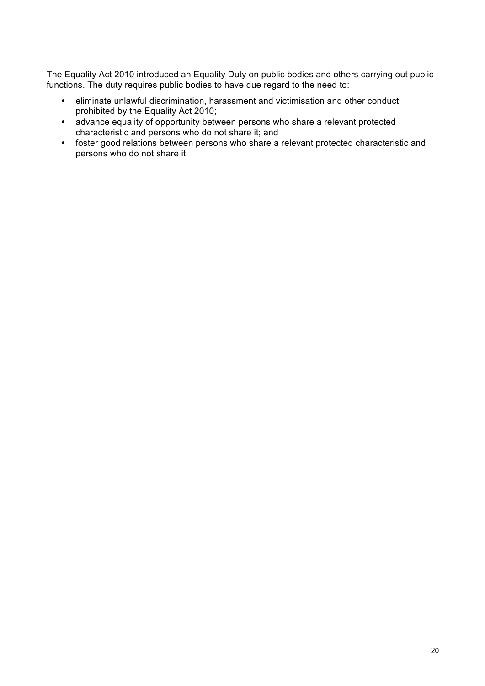The Equality Act 2010 introduced an Equality Duty on public bodies and others carrying out public functions. The duty requires public bodies to have due regard to the need to:

- prohibited by the Equality Act 2010; • eliminate unlawful discrimination, harassment and victimisation and other conduct
- • advance equality of opportunity between persons who share a relevant protected characteristic and persons who do not share it; and
- foster good relations between persons who share a relevant protected characteristic and persons who do not share it.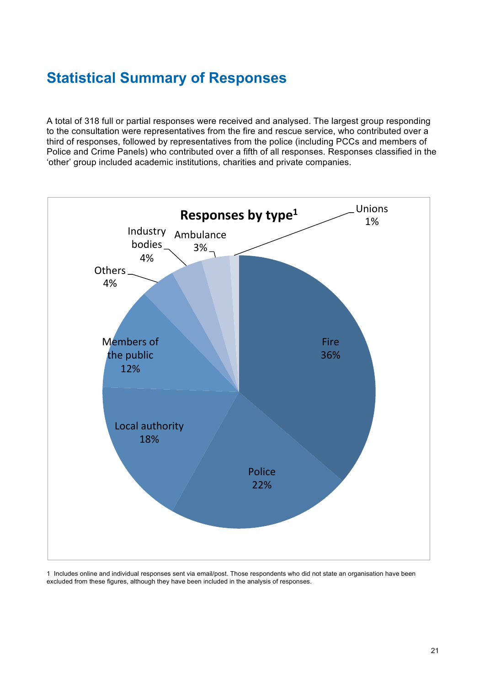# **Statistical Summary of Responses**

A total of 318 full or partial responses were received and analysed. The largest group responding to the consultation were representatives from the fire and rescue service, who contributed over a third of responses, followed by representatives from the police (including PCCs and members of Police and Crime Panels) who contributed over a fifth of all responses. Responses classified in the 'other' group included academic institutions, charities and private companies.



1 Includes online and individual responses sent via email/post. Those respondents who did not state an organisation have been excluded from these figures, although they have been included in the analysis of responses.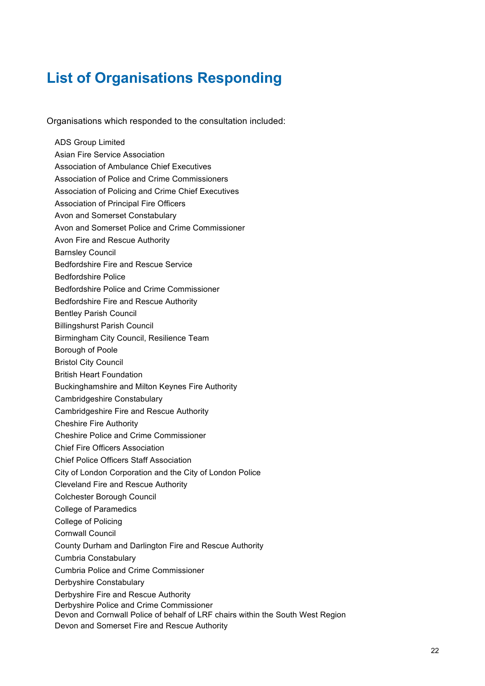# **List of Organisations Responding**

Organisations which responded to the consultation included:

 Asian Fire Service Association Association of Ambulance Chief Executives Association of Police and Crime Commissioners Association of Policing and Crime Chief Executives Association of Principal Fire Officers Avon and Somerset Constabulary Avon and Somerset Police and Crime Commissioner Avon Fire and Rescue Authority Bedfordshire Police and Crime Commissioner Bedfordshire Fire and Rescue Authority Bentley Parish Council Billingshurst Parish Council Birmingham City Council, Resilience Team Borough of Poole British Heart Foundation Buckinghamshire and Milton Keynes Fire Authority Cambridgeshire Fire and Rescue Authority Cheshire Fire Authority Cheshire Police and Crime Commissioner Chief Fire Officers Association Chief Police Officers Staff Association City of London Corporation and the City of London Police Cleveland Fire and Rescue Authority Colchester Borough Council College of Paramedics College of Policing County Durham and Darlington Fire and Rescue Authority Cumbria Police and Crime Commissioner Derbyshire Fire and Rescue Authority Derbyshire Police and Crime Commissioner Devon and Cornwall Police of behalf of LRF chairs within the South West Region Devon and Somerset Fire and Rescue Authority ADS Group Limited Barnsley Council Bedfordshire Fire and Rescue Service Bedfordshire Police Bristol City Council Cambridgeshire Constabulary Cornwall Council Cumbria Constabulary Derbyshire Constabulary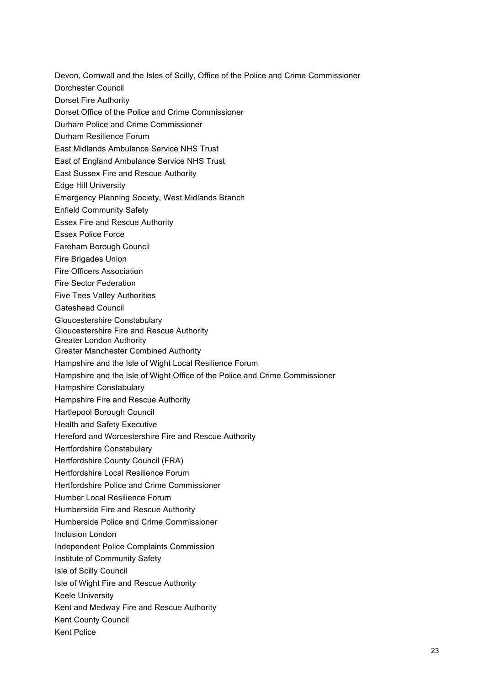Devon, Cornwall and the Isles of Scilly, Office of the Police and Crime Commissioner

Dorchester Council

Dorset Fire Authority

Dorset Office of the Police and Crime Commissioner

Durham Police and Crime Commissioner

Durham Resilience Forum

East Midlands Ambulance Service NHS Trust

East of England Ambulance Service NHS Trust

East Sussex Fire and Rescue Authority

Edge Hill University

Emergency Planning Society, West Midlands Branch

Enfield Community Safety

Essex Fire and Rescue Authority

Essex Police Force

Fareham Borough Council

Fire Brigades Union

Fire Officers Association

Fire Sector Federation

Five Tees Valley Authorities

Gateshead Council

Gloucestershire Constabulary

Gloucestershire Fire and Rescue Authority

Greater London Authority

Greater Manchester Combined Authority

Hampshire and the Isle of Wight Local Resilience Forum

Hampshire and the Isle of Wight Office of the Police and Crime Commissioner

Hampshire Constabulary

Hampshire Fire and Rescue Authority

Hartlepool Borough Council

Health and Safety Executive

Hereford and Worcestershire Fire and Rescue Authority

Hertfordshire Constabulary

Hertfordshire County Council (FRA)

Hertfordshire Local Resilience Forum

Hertfordshire Police and Crime Commissioner

Humber Local Resilience Forum

Humberside Fire and Rescue Authority

Humberside Police and Crime Commissioner

Inclusion London

Independent Police Complaints Commission

Institute of Community Safety

Isle of Scilly Council

Isle of Wight Fire and Rescue Authority

Keele University

Kent and Medway Fire and Rescue Authority

Kent County Council

Kent Police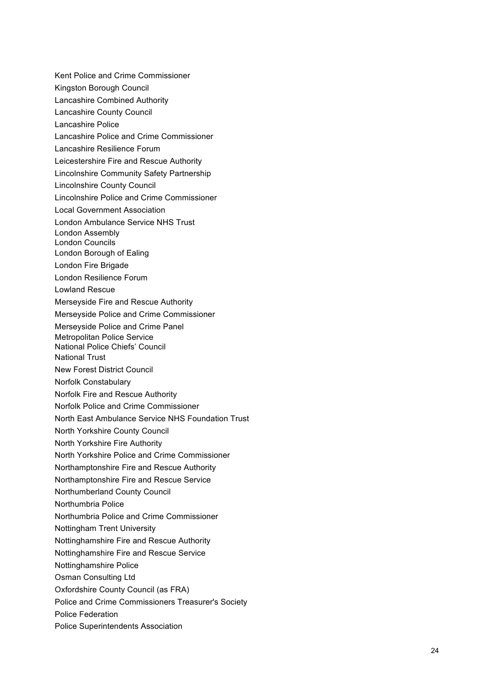Kent Police and Crime Commissioner Kingston Borough Council Lincolnshire Community Safety Partnership Merseyside Fire and Rescue Authority Merseyside Police and Crime Commissioner Merseyside Police and Crime Panel Metropolitan Police Service National Police Chiefs' Council New Forest District Council Norfolk Fire and Rescue Authority Norfolk Police and Crime Commissioner North East Ambulance Service NHS Foundation Trust North Yorkshire County Council North Yorkshire Fire Authority North Yorkshire Police and Crime Commissioner Northamptonshire Fire and Rescue Authority Northamptonshire Fire and Rescue Service Northumberland County Council Northumbria Police and Crime Commissioner Nottingham Trent University Nottinghamshire Fire and Rescue Authority Nottinghamshire Fire and Rescue Service Osman Consulting Ltd Oxfordshire County Council (as FRA) Police and Crime Commissioners Treasurer's Society Lancashire Combined Authority Lancashire County Council Lancashire Police Lancashire Police and Crime Commissioner Lancashire Resilience Forum Leicestershire Fire and Rescue Authority Lincolnshire County Council Lincolnshire Police and Crime Commissioner Local Government Association London Ambulance Service NHS Trust London Assembly London Councils London Borough of Ealing London Fire Brigade London Resilience Forum Lowland Rescue National Trust Norfolk Constabulary Northumbria Police Nottinghamshire Police Police Federation Police Superintendents Association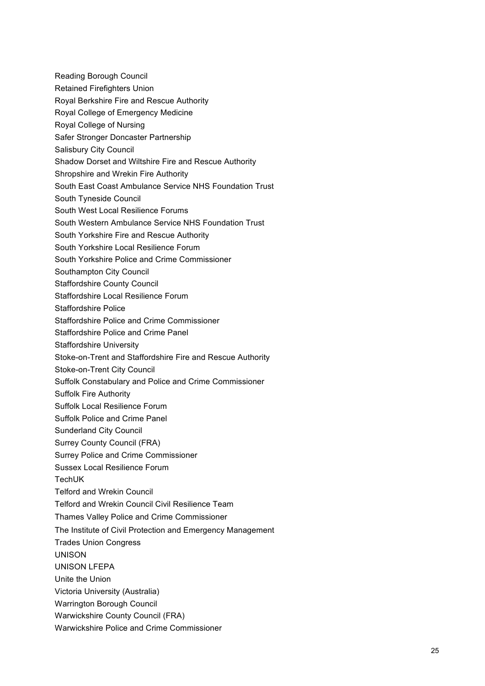- Reading Borough Council
- Retained Firefighters Union
- Royal Berkshire Fire and Rescue Authority
- Royal College of Emergency Medicine
- Royal College of Nursing
- Safer Stronger Doncaster Partnership
- Salisbury City Council
- Shadow Dorset and Wiltshire Fire and Rescue Authority
- Shropshire and Wrekin Fire Authority
- South East Coast Ambulance Service NHS Foundation Trust
- South Tyneside Council
- South West Local Resilience Forums
- South Western Ambulance Service NHS Foundation Trust
- South Yorkshire Fire and Rescue Authority
- South Yorkshire Local Resilience Forum
- South Yorkshire Police and Crime Commissioner
- Southampton City Council
- Staffordshire County Council
- Staffordshire Local Resilience Forum
- Staffordshire Police
- Staffordshire Police and Crime Commissioner
- Staffordshire Police and Crime Panel
- Staffordshire University
- Stoke-on-Trent and Staffordshire Fire and Rescue Authority
- Stoke-on-Trent City Council
- Suffolk Constabulary and Police and Crime Commissioner
- Suffolk Fire Authority
- Suffolk Local Resilience Forum
- Suffolk Police and Crime Panel
- Sunderland City Council
- Surrey County Council (FRA)
- Surrey Police and Crime Commissioner
- Sussex Local Resilience Forum
- TechUK
- Telford and Wrekin Council
- Telford and Wrekin Council Civil Resilience Team
- Thames Valley Police and Crime Commissioner
- The Institute of Civil Protection and Emergency Management
- Trades Union Congress
- UNISON
- UNISON LFEPA
- Unite the Union
- Victoria University (Australia)
- Warrington Borough Council
- Warwickshire County Council (FRA)
- Warwickshire Police and Crime Commissioner